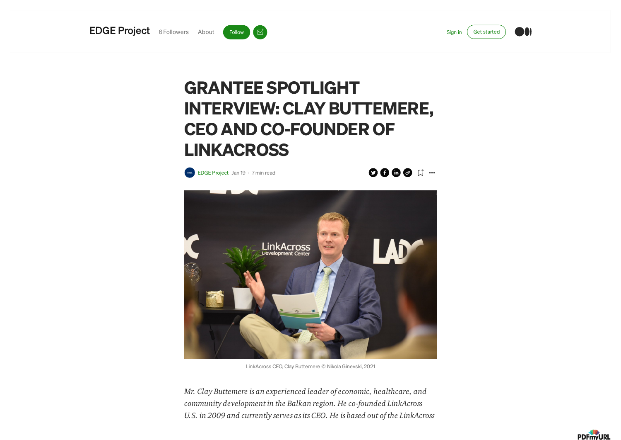



 $\overline{\mathbb{C}}^{\dagger}$ 

## GRANTEE SPOTLIGHT INTERVIEW: CLAY BUTTEMERE, CEO AND CO-FOUNDER OF **LINKACROSS**

EDGE [Project](https://edgeusaidproject.medium.com/?source=post_page-----9fb58763cda3-----------------------------------) Jan 19 · 7 min [read](https://edgeusaidproject.medium.com/grantee-spotlight-interview-clay-buttemere-ceo-and-co-founder-of-linkacross-9fb58763cda3?source=post_page-----9fb58763cda3-----------------------------------)

**OOOO H …** 



LinkAcross CEO, Clay Buttemere © Nikola Ginevski, 2021

Mr. Clay Buttemere is an experienced leader of economic, healthcare, and community development in the Balkan region. He co-founded LinkAcross U.S. in 2009 and currently serves as its CEO. He is based out of the LinkAcross

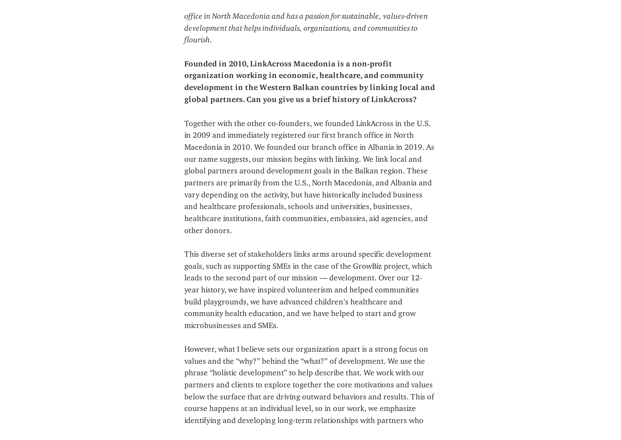office in North Macedonia and has a passion for sustainable, values-driven development that helps individuals, organizations, and communities to flourish.

Founded in 2010, LinkAcross Macedonia is a non-profit organization working in economic, healthcare, and community development in the Western Balkan countries by linking local and global partners. Can you give us a brief history of LinkAcross?

Together with the other co-founders, we founded LinkAcross in the U.S. in 2009 and immediately registered our first branch office in North Macedonia in 2010. We founded our branch office in Albania in 2019. As our name suggests, our mission begins with linking. We link local and global partners around development goals in the Balkan region. These partners are primarily from the U.S., North Macedonia, and Albania and vary depending on the activity, but have historically included business and healthcare professionals, schools and universities, businesses, healthcare institutions, faith communities, embassies, aid agencies, and other donors.

This diverse set of stakeholders links arms around specific development goals, such as supporting SMEs in the case of the GrowBiz project, which leads to the second part of our mission — development. Over our 12 year history, we have inspired volunteerism and helped communities build playgrounds, we have advanced children's healthcare and community health education, and we have helped to start and grow microbusinesses and SMEs.

However, what I believe sets our organization apart is a strong focus on values and the "why?" behind the "what?" of development. We use the phrase "holistic development" to help describe that. We work with our partners and clients to explore together the core motivations and values below the surface that are driving outward behaviors and results. This of course happens at an individual level, so in our work, we emphasize identifying and developing long-term relationships with partners who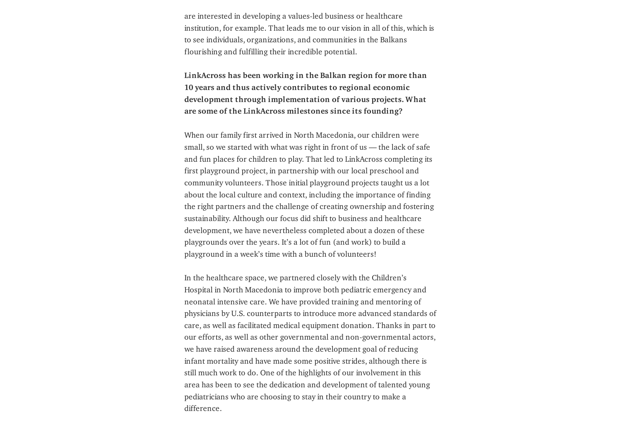are interested in developing a values-led business or healthcare institution, for example. That leads me to our vision in all of this, which is to see individuals, organizations, and communities in the Balkans flourishing and fulfilling their incredible potential.

LinkAcross has been working in the Balkan region for more than 10 years and thus actively contributes to regional economic development through implementation of various projects. What are some of the LinkAcross milestones since its founding?

When our family first arrived in North Macedonia, our children were small, so we started with what was right in front of us — the lack of safe and fun places for children to play. That led to LinkAcross completing its first playground project, in partnership with our local preschool and community volunteers. Those initial playground projects taught us a lot about the local culture and context, including the importance of finding the right partners and the challenge of creating ownership and fostering sustainability. Although our focus did shift to business and healthcare development, we have nevertheless completed about a dozen of these playgrounds over the years. It's a lot of fun (and work) to build a playground in a week's time with a bunch of volunteers!

In the healthcare space, we partnered closely with the Children's Hospital in North Macedonia to improve both pediatric emergency and neonatal intensive care. We have provided training and mentoring of physicians by U.S. counterparts to introduce more advanced standards of care, as well as facilitated medical equipment donation. Thanks in part to our efforts, as well as other governmental and non-governmental actors, we have raised awareness around the development goal of reducing infant mortality and have made some positive strides, although there is still much work to do. One of the highlights of our involvement in this area has been to see the dedication and development of talented young pediatricians who are choosing to stay in their country to make a difference.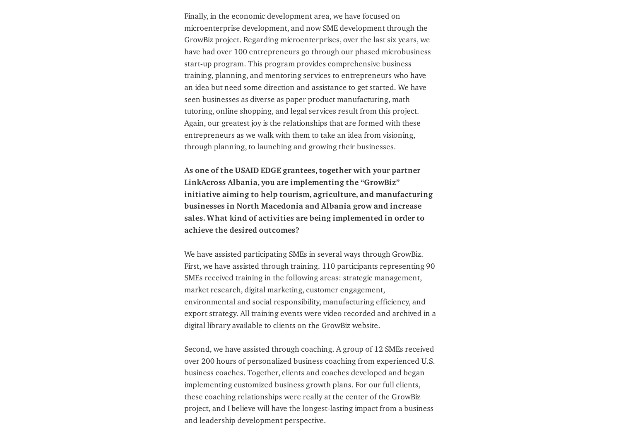Finally, in the economic development area, we have focused on microenterprise development, and now SME development through the GrowBiz project. Regarding microenterprises, over the last six years, we have had over 100 entrepreneurs go through our phased microbusiness start-up program. This program provides comprehensive business training, planning, and mentoring services to entrepreneurs who have an idea but need some direction and assistance to get started. We have seen businesses as diverse as paper product manufacturing, math tutoring, online shopping, and legal services result from this project. Again, our greatest joy is the relationships that are formed with these entrepreneurs as we walk with them to take an idea from visioning, through planning, to launching and growing their businesses.

As one of the USAID EDGE grantees, together with your partner LinkAcross Albania, you are implementing the "GrowBiz" initiative aiming to help tourism, agriculture, and manufacturing businesses in North Macedonia and Albania grow and increase sales. What kind of activities are being implemented in order to achieve the desired outcomes?

We have assisted participating SMEs in several ways through GrowBiz. First, we have assisted through training. 110 participants representing 90 SMEs received training in the following areas: strategic management, market research, digital marketing, customer engagement, environmental and social responsibility, manufacturing efficiency, and export strategy. All training events were video recorded and archived in a digital library available to clients on the GrowBiz website.

Second, we have assisted through coaching. A group of 12 SMEs received over 200 hours of personalized business coaching from experienced U.S. business coaches. Together, clients and coaches developed and began implementing customized business growth plans. For our full clients, these coaching relationships were really at the center of the GrowBiz project, and I believe will have the longest-lasting impact from a business and leadership development perspective.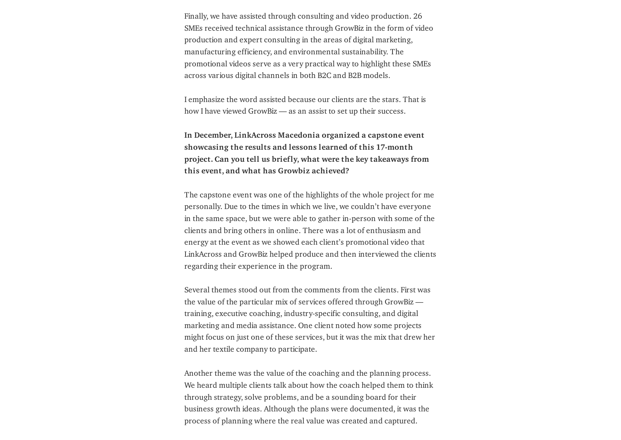Finally, we have assisted through consulting and video production. 26 SMEs received technical assistance through GrowBiz in the form of video production and expert consulting in the areas of digital marketing, manufacturing efficiency, and environmental sustainability. The promotional videos serve as a very practical way to highlight these SMEs across various digital channels in both B2C and B2B models.

I emphasize the word assisted because our clients are the stars. That is how I have viewed GrowBiz — as an assist to set up their success.

In December, LinkAcross Macedonia organized a capstone event showcasing the results and lessons learned of this 17-month project. Can you tell us briefly, what were the key takeaways from this event, and what has Growbiz achieved?

The capstone event was one of the highlights of the whole project for me personally. Due to the times in which we live, we couldn't have everyone in the same space, but we were able to gather in-person with some of the clients and bring others in online. There was a lot of enthusiasm and energy at the event as we showed each client's promotional video that LinkAcross and GrowBiz helped produce and then interviewed the clients regarding their experience in the program.

Several themes stood out from the comments from the clients. First was the value of the particular mix of services offered through GrowBiz training, executive coaching, industry-specific consulting, and digital marketing and media assistance. One client noted how some projects might focus on just one of these services, but it was the mix that drew her and her textile company to participate.

Another theme was the value of the coaching and the planning process. We heard multiple clients talk about how the coach helped them to think through strategy, solve problems, and be a sounding board for their business growth ideas. Although the plans were documented, it was the process of planning where the real value was created and captured.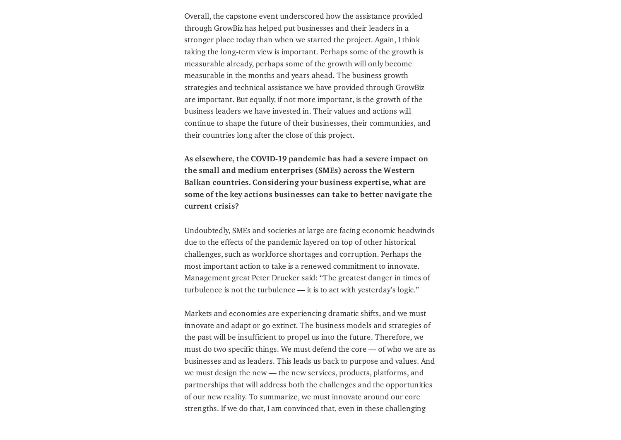Overall, the capstone event underscored how the assistance provided through GrowBiz has helped put businesses and their leaders in a stronger place today than when we started the project. Again, I think taking the long-term view is important. Perhaps some of the growth is measurable already, perhaps some of the growth will only become measurable in the months and years ahead. The business growth strategies and technical assistance we have provided through GrowBiz are important. But equally, if not more important, is the growth of the business leaders we have invested in. Their values and actions will continue to shape the future of their businesses, their communities, and their countries long after the close of this project.

As elsewhere, the COVID-19 pandemic has had a severe impact on the small and medium enterprises (SMEs) across the Western Balkan countries. Considering your business expertise, what are some of the key actions businesses can take to better navigate the current crisis?

Undoubtedly, SMEs and societies at large are facing economic headwinds due to the effects of the pandemic layered on top of other historical challenges, such as workforce shortages and corruption. Perhaps the most important action to take is a renewed commitment to innovate. Management great Peter Drucker said: "The greatest danger in times of turbulence is not the turbulence — it is to act with yesterday's logic."

Markets and economies are experiencing dramatic shifts, and we must innovate and adapt or go extinct. The business models and strategies of the past will be insufficient to propel us into the future. Therefore, we must do two specific things. We must defend the core — of who we are as businesses and as leaders. This leads us back to purpose and values. And we must design the new — the new services, products, platforms, and partnerships that will address both the challenges and the opportunities of our new reality. To summarize, we must innovate around our core strengths. If we do that, I am convinced that, even in these challenging